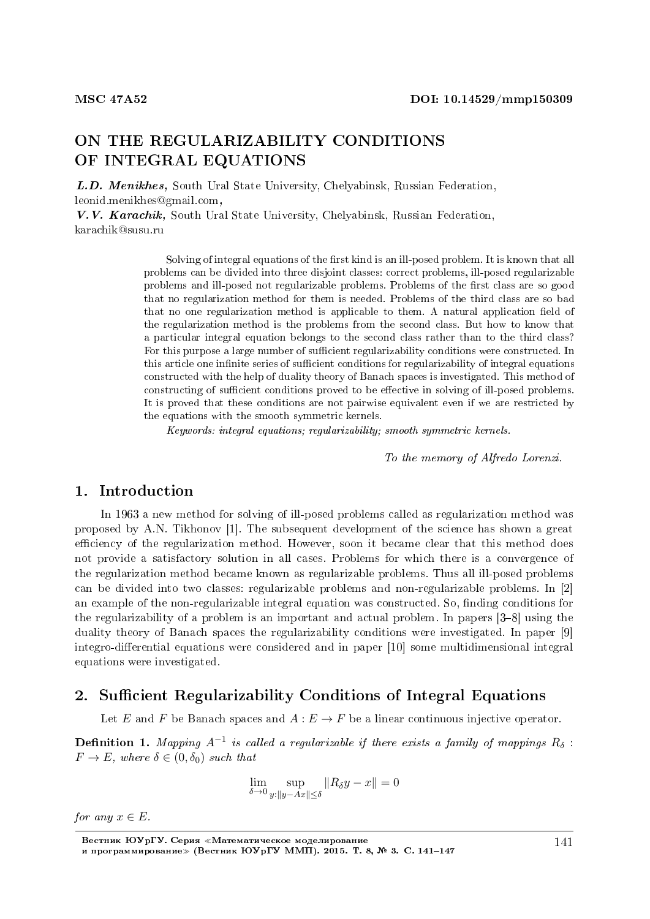# ON THE REGULARIZABILITY CONDITIONS OF INTEGRAL EQUATIONS

L.D. Menikhes, South Ural State University, Chelyabinsk, Russian Federation, leonid.menikhes@gmail.com,

V.V. Karachik, South Ural State University, Chelyabinsk, Russian Federation, karachik@susu.ru

> Solving of integral equations of the first kind is an ill-posed problem. It is known that all problems can be divided into three disjoint classes: correct problems, ill-posed regularizable problems and ill-posed not regularizable problems. Problems of the first class are so good that no regularization method for them is needed. Problems of the third class are so bad that no one regularization method is applicable to them. A natural application field of the regularization method is the problems from the second class. But how to know that a particular integral equation belongs to the second class rather than to the third class? For this purpose a large number of sufficient regularizability conditions were constructed. In this article one infinite series of sufficient conditions for regularizability of integral equations constructed with the help of duality theory of Banach spaces is investigated. This method of constructing of sufficient conditions proved to be effective in solving of ill-posed problems. It is proved that these conditions are not pairwise equivalent even if we are restricted by the equations with the smooth symmetric kernels.

Keywords: integral equations; regularizability; smooth symmetric kernels.

To the memory of Alfredo Lorenzi.

#### 1. Introduction

In 1963 a new method for solving of ill-posed problems called as regularization method was proposed by A.N. Tikhonov [1]. The subsequent development of the science has shown a great efficiency of the regularization method. However, soon it became clear that this method does not provide a satisfactory solution in all cases. Problems for which there is a convergence of the regularization method became known as regularizable problems. Thus all ill-posed problems can be divided into two classes: regularizable problems and non-regularizable problems. In [2] an example of the non-regularizable integral equation was constructed. So, finding conditions for the regularizability of a problem is an important and actual problem. In papers  $[3-8]$  using the duality theory of Banach spaces the regularizability conditions were investigated. In paper [9] integro-differential equations were considered and in paper [10] some multidimensional integral equations were investigated.

## 2. Sufficient Regularizability Conditions of Integral Equations

Let *E* and *F* be Banach spaces and  $A: E \to F$  be a linear continuous injective operator.

 $\bf{Definition \ 1.}$  Mapping  $A^{-1}$  is called a regularizable if there exists a family of mappings  $R_\delta$ :  $F \to E$ , where  $\delta \in (0, \delta_0)$  such that

$$
\lim_{\delta \to 0} \sup_{y: \|y - Ax\| \le \delta} \|R_{\delta}y - x\| = 0
$$

*for any*  $x \in E$ .

Вестник ЮУрГУ. Серия «Математическое моделирование и программирование≫ (Вестник ЮУрГУ ММП). 2015. T. 8, № 3. C. 141-147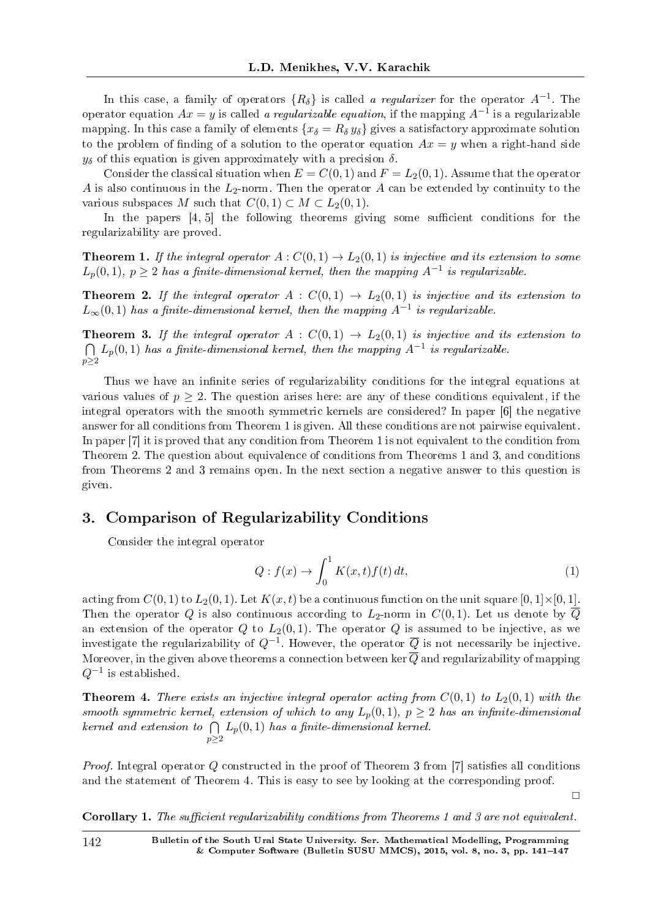In this case, a family of operators *{Rδ}* is called a regularizer for the operator *A−*<sup>1</sup> . The operator equation  $Ax = y$  is called *a regularizable equation*, if the mapping  $A^{-1}$  is a regularizable mapping. In this case a family of elements  ${x_\delta = R_\delta y_\delta}$  gives a satisfactory approximate solution to the problem of finding of a solution to the operator equation  $Ax = y$  when a right-hand side  $y_{\delta}$  of this equation is given approximately with a precision  $\delta$ .

Consider the classical situation when  $E = C(0, 1)$  and  $F = L_2(0, 1)$ . Assume that the operator *A* is also continuous in the *L*2-norm. Then the operator *A* can be extended by continuity to the various subspaces *M* such that  $C(0, 1) \subset M \subset L_2(0, 1)$ .

In the papers  $[4, 5]$  the following theorems giving some sufficient conditions for the regularizability are proved.

**Theorem 1.** If the integral operator  $A: C(0,1) \rightarrow L_2(0,1)$  is injective and its extension to some  $L_p(0,1)$ ,  $p \geq 2$  has a finite-dimensional kernel, then the mapping  $A^{-1}$  is regularizable.

**Theorem 2.** If the integral operator  $A : C(0,1) \rightarrow L_2(0,1)$  is injective and its extension to  $L_{\infty}(0,1)$  has a finite-dimensional kernel, then the mapping  $A^{-1}$  is regularizable.

**Theorem 3.** If the integral operator  $A : C(0,1) \rightarrow L_2(0,1)$  is injective and its extension to  $\bigcap L_p(0,1)$  has a finite-dimensional kernel, then the mapping  $A^{-1}$  is regularizable. *p≥*2

Thus we have an infinite series of regularizability conditions for the integral equations at various values of  $p \geq 2$ . The question arises here: are any of these conditions equivalent, if the integral operators with the smooth symmetric kernels are considered? In paper [6] the negative answer for all conditions from Theorem 1 is given. All these conditions are not pairwise equivalent. In paper [7] it is proved that any condition from Theorem 1 is not equivalent to the condition from Theorem 2. The question about equivalence of conditions from Theorems 1 and 3, and conditions from Theorems 2 and 3 remains open. In the next section a negative answer to this question is given.

## 3. Comparison of Regularizability Conditions

Consider the integral operator

$$
Q: f(x) \to \int_0^1 K(x, t) f(t) dt,
$$
\n(1)

acting from  $C(0,1)$  to  $L_2(0,1)$ . Let  $K(x,t)$  be a continuous function on the unit square  $[0,1]\times[0,1]$ . Then the operator *Q* is also continuous according to  $L_2$ -norm in  $C(0,1)$ . Let us denote by  $\overline{Q}$ an extension of the operator  $Q$  to  $L_2(0,1)$ . The operator  $Q$  is assumed to be injective, as we investigate the regularizability of *Q−*<sup>1</sup> . However, the operator *Q* is not necessarily be injective. Moreover, in the given above theorems a connection between ker  $\overline{Q}$  and regularizability of mapping *Q−*<sup>1</sup> is established.

**Theorem 4.** There exists an injective integral operator acting from  $C(0,1)$  to  $L_2(0,1)$  with the smooth symmetric kernel, extension of which to any  $L_p(0,1)$ ,  $p \geq 2$  has an infinite-dimensional kernel and extension to ∩ *p≥*2  $L_p(0,1)$  has a finite-dimensional kernel.

*Proof.* Integral operator Q constructed in the proof of Theorem 3 from [7] satisfies all conditions and the statement of Theorem 4. This is easy to see by looking at the corresponding proof.

 $\Box$ 

Corollary 1. The sufficient regularizability conditions from Theorems 1 and 3 are not equivalent.

142 Bulletin of the South Ural State University. Ser. Mathematical Modelling, Programming & Computer Software (Bulletin SUSU MMCS), 2015, vol. 8, no. 3, pp.  $141-147$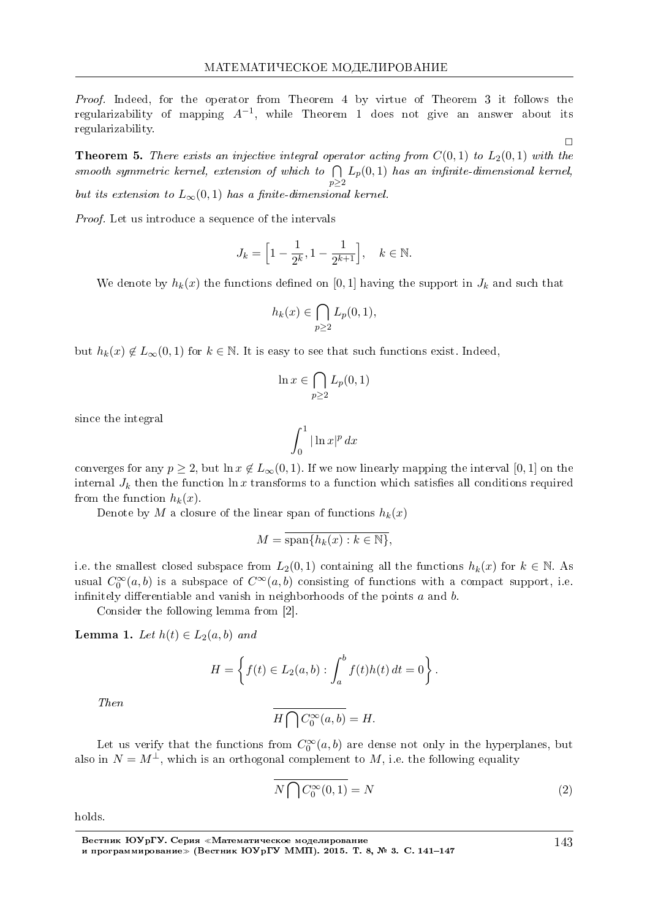Proof. Indeed, for the operator from Theorem 4 by virtue of Theorem 3 it follows the regularizability of mapping *A−*<sup>1</sup> , while Theorem 1 does not give an answer about its regularizability.

**Theorem 5.** There exists an injective integral operator acting from  $C(0,1)$  to  $L_2(0,1)$  with the smooth symmetric kernel, extension of which to  $\bigcap L_p(0,1)$  has an infinite-dimensional kernel, *p≥*2 but its extension to  $L_{\infty}(0,1)$  has a finite-dimensional kernel.

Proof. Let us introduce a sequence of the intervals

$$
J_k = \left[1 - \frac{1}{2^k}, 1 - \frac{1}{2^{k+1}}\right], \quad k \in \mathbb{N}.
$$

We denote by  $h_k(x)$  the functions defined on [0,1] having the support in  $J_k$  and such that

$$
h_k(x) \in \bigcap_{p \ge 2} L_p(0,1),
$$

but  $h_k(x) \notin L_\infty(0,1)$  for  $k \in \mathbb{N}$ . It is easy to see that such functions exist. Indeed,

$$
\ln x \in \bigcap_{p \ge 2} L_p(0, 1)
$$

since the integral

$$
\int_0^1 |\ln x|^p \, dx
$$

converges for any  $p \ge 2$ , but  $\ln x \notin L_\infty(0,1)$ . If we now linearly mapping the interval [0, 1] on the internal  $J_k$  then the function  $\ln x$  transforms to a function which satisfies all conditions required from the function  $h_k(x)$ .

Denote by *M* a closure of the linear span of functions  $h_k(x)$ 

$$
M = \overline{\operatorname{span}\{h_k(x) : k \in \mathbb{N}\}},
$$

i.e. the smallest closed subspace from  $L_2(0,1)$  containing all the functions  $h_k(x)$  for  $k \in \mathbb{N}$ . As usual  $C_0^{\infty}(a, b)$  is a subspace of  $C^{\infty}(a, b)$  consisting of functions with a compact support, i.e. infinitely differentiable and vanish in neighborhoods of the points *a* and *b*.

Consider the following lemma from [2].

**Lemma 1.** Let  $h(t)$  ∈  $L_2(a, b)$  and

$$
H = \left\{ f(t) \in L_2(a, b) : \int_a^b f(t)h(t) dt = 0 \right\}.
$$

Then

$$
H\bigcap C_0^\infty(a,b)=H.
$$

Let us verify that the functions from  $C_0^{\infty}(a, b)$  are dense not only in the hyperplanes, but also in  $N = M^{\perp}$ , which is an orthogonal complement to M, i.e. the following equality

$$
N\bigcap C_0^{\infty}(0,1) = N
$$
\n(2)

holds.

Вестник ЮУрГУ. Серия «Математическое моделирование и программирование≫ (Вестник ЮУрГУ ММП). 2015. Т. 8, № 3. C. 141–147 143

 $\Box$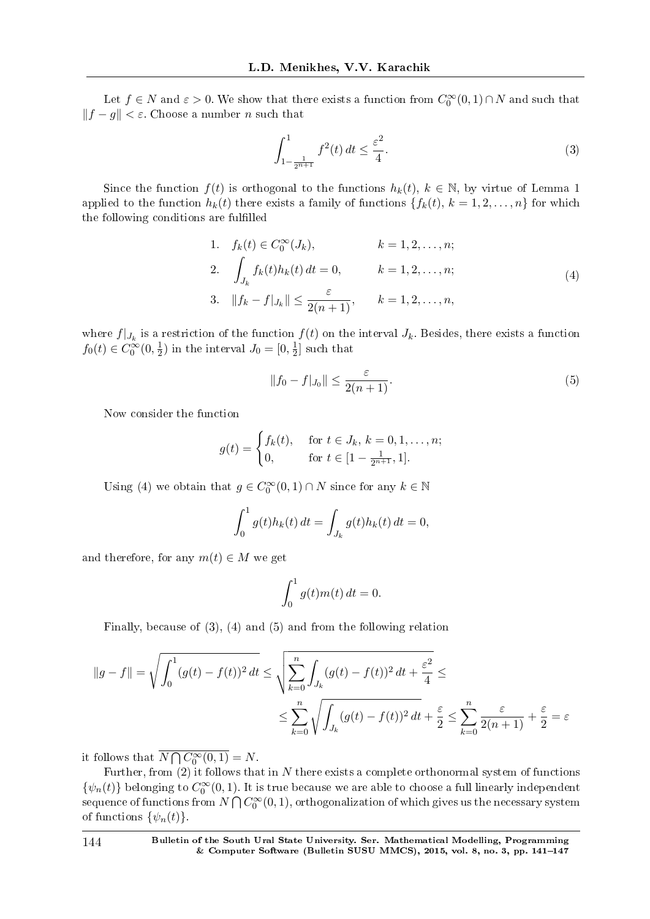Let  $f \in N$  and  $\varepsilon > 0$ . We show that there exists a function from  $C_0^{\infty}(0,1) \cap N$  and such that *∥f − g∥ < ε*. Choose a number *n* such that

$$
\int_{1-\frac{1}{2^{n+1}}}^{1} f^2(t) dt \le \frac{\varepsilon^2}{4}.
$$
 (3)

Since the function  $f(t)$  is orthogonal to the functions  $h_k(t)$ ,  $k \in \mathbb{N}$ , by virtue of Lemma 1 applied to the function  $h_k(t)$  there exists a family of functions  $\{f_k(t), k = 1, 2, \ldots, n\}$  for which the following conditions are fulfilled

1. 
$$
f_k(t) \in C_0^{\infty}(J_k)
$$
,  $k = 1, 2, ..., n$ ;  
\n2.  $\int_{J_k} f_k(t)h_k(t) dt = 0$ ,  $k = 1, 2, ..., n$ ;  
\n3.  $||f_k - f|_{J_k}|| \le \frac{\varepsilon}{2(n+1)}$ ,  $k = 1, 2, ..., n$ ,  $(4)$ 

where  $f|_{J_k}$  is a restriction of the function  $f(t)$  on the interval  $J_k$ . Besides, there exists a function  $f_0(t) \in C_0^{\infty}(0, \frac{1}{2})$  $(\frac{1}{2})$  in the interval  $J_0 = [0, \frac{1}{2}]$  $\frac{1}{2}$  such that

$$
||f_0 - f|_{J_0}|| \le \frac{\varepsilon}{2(n+1)}.
$$
 (5)

Now consider the function

$$
g(t) = \begin{cases} f_k(t), & \text{for } t \in J_k, \, k = 0, 1, \dots, n; \\ 0, & \text{for } t \in [1 - \frac{1}{2^{n+1}}, 1]. \end{cases}
$$

Using (4) we obtain that  $g \in C_0^{\infty}(0,1) \cap N$  since for any  $k \in \mathbb{N}$ 

$$
\int_0^1 g(t)h_k(t) dt = \int_{J_k} g(t)h_k(t) dt = 0,
$$

and therefore, for any  $m(t) \in M$  we get

$$
\int_0^1 g(t)m(t) dt = 0.
$$

Finally, because of (3), (4) and (5) and from the following relation

$$
||g - f|| = \sqrt{\int_0^1 (g(t) - f(t))^2 dt} \le \sqrt{\sum_{k=0}^n \int_{J_k} (g(t) - f(t))^2 dt + \frac{\varepsilon^2}{4}} \le
$$
  

$$
\le \sum_{k=0}^n \sqrt{\int_{J_k} (g(t) - f(t))^2 dt + \frac{\varepsilon}{2}} \le \sum_{k=0}^n \frac{\varepsilon}{2(n+1)} + \frac{\varepsilon}{2} = \varepsilon
$$

it follows that  $\overline{N \bigcap C_0^{\infty}(0,1)} = N$ .

Further, from (2) it follows that in *N* there exists a complete orthonormal system of functions  $\{\psi_n(t)\}$  belonging to  $C_0^{\infty}(0,1)$ . It is true because we are able to choose a full linearly independent sequence of functions from  $N\bigcap C_0^\infty(0,1),$  orthogonalization of which gives us the necessary system of functions  $\{\psi_n(t)\}.$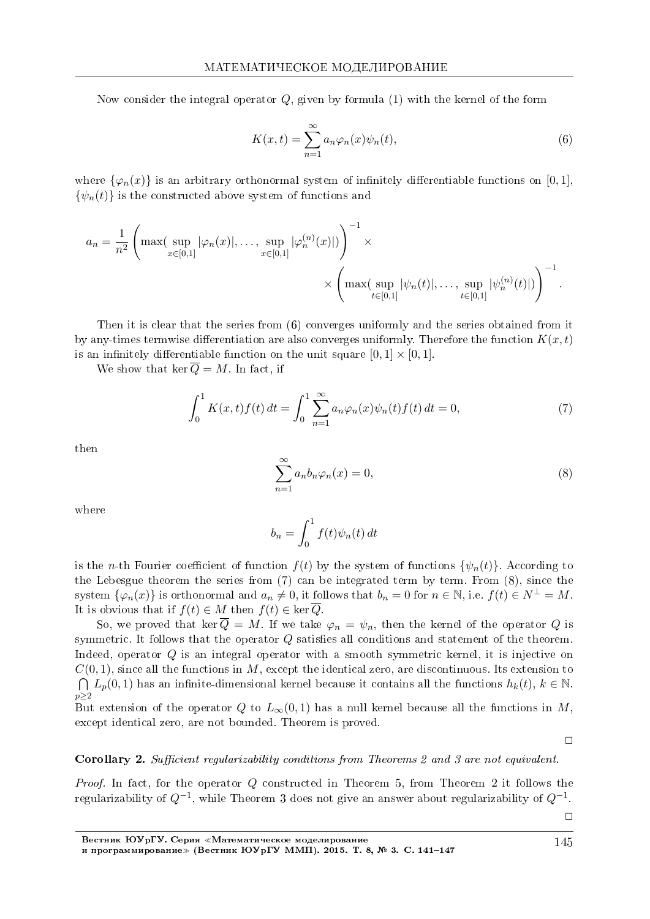Now consider the integral operator  $Q$ , given by formula (1) with the kernel of the form

$$
K(x,t) = \sum_{n=1}^{\infty} a_n \varphi_n(x) \psi_n(t),
$$
\n(6)

where  $\{\varphi_n(x)\}\$ is an arbitrary orthonormal system of infinitely differentiable functions on [0, 1],  $\{\psi_n(t)\}\$ is the constructed above system of functions and

$$
a_n = \frac{1}{n^2} \left( \max(\sup_{x \in [0,1]} |\varphi_n(x)|, \dots, \sup_{x \in [0,1]} |\varphi_n^{(n)}(x)|) \right)^{-1} \times \times \left( \max(\sup_{t \in [0,1]} |\psi_n(t)|, \dots, \sup_{t \in [0,1]} |\psi_n^{(n)}(t)|) \right)^{-1}.
$$

Then it is clear that the series from (6) converges uniformly and the series obtained from it by any-times termwise differentiation are also converges uniformly. Therefore the function  $K(x,t)$ is an infinitely differentiable function on the unit square  $[0, 1] \times [0, 1]$ .

We show that ker  $\overline{Q} = M$ . In fact, if

$$
\int_0^1 K(x,t)f(t) dt = \int_0^1 \sum_{n=1}^\infty a_n \varphi_n(x)\psi_n(t)f(t) dt = 0,
$$
\n(7)

then

$$
\sum_{n=1}^{\infty} a_n b_n \varphi_n(x) = 0,
$$
\n(8)

where

$$
b_n = \int_0^1 f(t)\psi_n(t) dt
$$

is the *n*-th Fourier coefficient of function  $f(t)$  by the system of functions  $\{\psi_n(t)\}\$ . According to the Lebesgue theorem the series from  $(7)$  can be integrated term by term. From  $(8)$ , since the system  $\{\varphi_n(x)\}\$ is orthonormal and  $a_n \neq 0$ , it follows that  $b_n = 0$  for  $n \in \mathbb{N}$ , i.e.  $f(t) \in N^{\perp} = M$ . It is obvious that if  $f(t) \in M$  then  $f(t) \in \ker \overline{Q}$ .

So, we proved that ker  $\overline{Q} = M$ . If we take  $\varphi_n = \psi_n$ , then the kernel of the operator Q is symmetric. It follows that the operator  $Q$  satisfies all conditions and statement of the theorem. Indeed, operator Q is an integral operator with a smooth symmetric kernel, it is injective on  $C(0,1)$ , since all the functions in M, except the identical zero, are discontinuous. Its extension to  $\bigcap L_p(0,1)$  has an infinite-dimensional kernel because it contains all the functions  $h_k(t)$ ,  $k \in \mathbb{N}$ .  $p\geq 2$ 

But extension of the operator Q to  $L_{\infty}(0,1)$  has a null kernel because all the functions in M, except identical zero, are not bounded. Theorem is proved.

 $\Box$ 

#### **Corollary 2.** Sufficient regularizability conditions from Theorems 2 and 3 are not equivalent.

*Proof.* In fact, for the operator Q constructed in Theorem 5, from Theorem 2 it follows the regularizability of  $Q^{-1}$ , while Theorem 3 does not give an answer about regularizability of  $Q^{-1}$ .

 $\Box$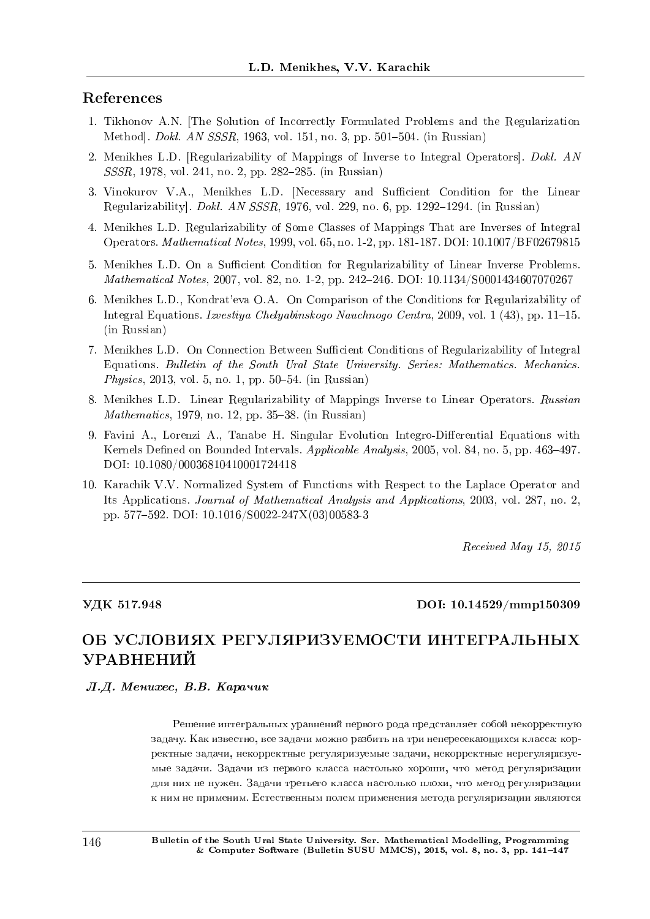# References

- 1. Tikhonov A.N. [The Solution of Incorrectly Formulated Problems and the Regularization Method]. *Dokl. AN SSSR*, 1963, vol. 151, no. 3, pp. 501-504. (in Russian)
- 2. Menikhes L.D. [Regularizability of Mappings of Inverse to Integral Operators]. Dokl. AN  $SSSR$ , 1978, vol. 241, no. 2, pp. 282–285. (in Russian)
- 3. Vinokurov V.A., Menikhes L.D. [Necessary and Sufficient Condition for the Linear Regularizabilityl.  $Dokl. AN SSSR$ , 1976, vol. 229, no. 6, pp. 1292-1294. (in Russian)
- 4. Menikhes L.D. Regularizability of Some Classes of Mappings That are Inverses of Integral Operators. Mathematical Notes, 1999, vol. 65, no. 1-2, pp. 181-187. DOI: 10.1007/BF02679815
- 5. Menikhes L.D. On a Sufficient Condition for Regularizability of Linear Inverse Problems. Mathematical Notes, 2007, vol. 82, no. 1-2, pp. 242-246. DOI: 10.1134/S0001434607070267
- 6. Menikhes L.D., Kondrat'eva O.A. On Comparison of the Conditions for Regularizability of Integral Equations. Izvestiya Chelyabinskogo Nauchnogo Centra, 2009, vol. 1 (43), pp. 11–15. (in Russian)
- 7. Menikhes L.D. On Connection Between Sufficient Conditions of Regularizability of Integral Equations. Bulletin of the South Ural State University. Series: Mathematics. Mechanics. *Physics*, 2013, vol. 5, no. 1, pp. 50–54. (in Russian)
- 8. Menikhes L.D. Linear Regularizability of Mappings Inverse to Linear Operators. Russian  $Mathematics, 1979, no. 12, pp. 35-38. (in Russian)$
- 9. Favini A., Lorenzi A., Tanabe H. Singular Evolution Integro-Differential Equations with Kernels Defined on Bounded Intervals.  $Applicable Analysis$ , 2005, vol. 84, no. 5, pp. 463-497. DOI: 10.1080/00036810410001724418
- 10. Karachik V.V. Normalized System of Functions with Respect to the Laplace Operator and Its Applications. Journal of Mathematical Analysis and Applications, 2003, vol. 287, no. 2, pp. 577592. DOI: 10.1016/S0022-247X(03)00583-3

Received May 15, 2015

#### ÓÄÊ 517.948 DOI: 10.14529/mmp150309

# ОБ УСЛОВИЯХ РЕГУЛЯРИЗУЕМОСТИ ИНТЕГРАЛЬНЫХ УРАВНЕНИЙ

Л.Д. Менихес, В.В. Карачик

Решение интегральных уравнений первого рода представляет собой некорректную задачу. Как известно, все задачи можно разбить на три непересекающихся класса: корректные задачи, некорректные регуляризуемые задачи, некорректные нерегуляризуемые задачи. Задачи из первого класса настолько хороши, что метод регуляризации для них не нужен. Задачи третьего класса настолько плохи, что метод регуляризации к ним не применим. Естественным полем применения метода регуляризации являются